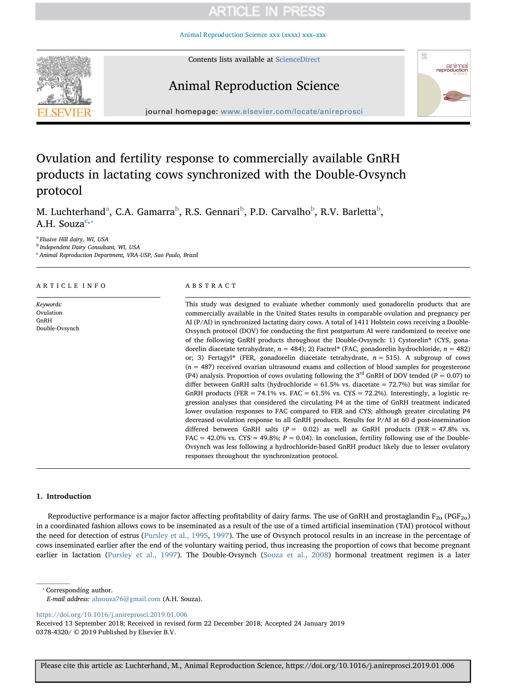[Animal Reproduction Science xxx \(xxxx\) xxx–xxx](https://doi.org/10.1016/j.anireprosci.2019.01.006)



Contents lists available at [ScienceDirect](http://www.sciencedirect.com/science/journal/03784320)

# Animal Reproduction Science



journal homepage: [www.elsevier.com/locate/anireprosci](https://www.elsevier.com/locate/anireprosci)

# Ovulation and fertility response to commercially available GnRH products in lactating cows synchronized with the Double-Ovsynch protocol

M. Luchterh[a](#page-0-0)nd<sup>a</sup>, C.A. Gamarra<sup>[b](#page-0-1)</sup>, R.S. Gennari<sup>b</sup>, P.D. Carvalho<sup>b</sup>, R.V. Barletta<sup>b</sup>, A.H. Souza<sup>[c,](#page-0-2) $*$ </sup>

<span id="page-0-0"></span><sup>a</sup> Elusive Hill dairy, WI, USA

<span id="page-0-1"></span>**b** Independent Dairy Consultant, WI, USA

<span id="page-0-2"></span><sup>c</sup> Animal Reproduction Department, VRA-USP, Sao Paulo, Brazil

## ARTICLE INFO

Keywords: Ovulation GnRH Double-Ovsynch

## ABSTRACT

This study was designed to evaluate whether commonly used gonadorelin products that are commercially available in the United States results in comparable ovulation and pregnancy per AI (P/AI) in synchronized lactating dairy cows. A total of 1411 Holstein cows receiving a Double-Ovsynch protocol (DOV) for conducting the first postpartum AI were randomized to receive one of the following GnRH products throughout the Double-Ovsynch: 1) Cystorelin® (CYS, gonadorelin diacetate tetrahydrate,  $n = 484$ ); 2) Factrel® (FAC, gonadorelin hydrochloride,  $n = 482$ ) or; 3) Fertagyl® (FER, gonadorelin diacetate tetrahydrate,  $n = 515$ ). A subgroup of cows  $(n = 487)$  received ovarian ultrasound exams and collection of blood samples for progesterone (P4) analysis. Proportion of cows ovulating following the 3<sup>rd</sup> GnRH of DOV tended ( $P = 0.07$ ) to differ between GnRH salts (hydrochloride =  $61.5\%$  vs. diacetate =  $72.7\%$ ) but was similar for GnRH products (FER = 74.1% vs. FAC =  $61.5\%$  vs. CYS = 72.2%). Interestingly, a logistic regression analyses that considered the circulating P4 at the time of GnRH treatment indicated lower ovulation responses to FAC compared to FER and CYS; although greater circulating P4 decreased ovulation response to all GnRH products. Results for P/AI at 60 d post-insemination differed between GnRH salts ( $P = 0.02$ ) as well as GnRH products ( $FER = 47.8\%$  vs.  $FAC = 42.0\%$  vs.  $CYS = 49.8\%$ ;  $P = 0.04$ ). In conclusion, fertility following use of the Double-Ovsynch was less following a hydrochloride-based GnRH product likely due to lesser ovulatory responses throughout the synchronization protocol.

## 1. Introduction

Reproductive performance is a major factor affecting profitability of dairy farms. The use of GnRH and prostaglandin  $F_{2\alpha}$  (PGF<sub>2α</sub>) in a coordinated fashion allows cows to be inseminated as a result of the use of a timed artificial insemination (TAI) protocol without the need for detection of estrus ([Pursley et al., 1995,](#page-6-0) [1997](#page-6-1)). The use of Ovsynch protocol results in an increase in the percentage of cows inseminated earlier after the end of the voluntary waiting period, thus increasing the proportion of cows that become pregnant earlier in lactation ([Pursley et al., 1997\)](#page-6-1). The Double-Ovsynch [\(Souza et al., 2008\)](#page-6-2) hormonal treatment regimen is a later

<span id="page-0-3"></span>⁎ Corresponding author.

<https://doi.org/10.1016/j.anireprosci.2019.01.006>

Received 13 September 2018; Received in revised form 22 December 2018; Accepted 24 January 2019 0378-4320/ © 2019 Published by Elsevier B.V.

E-mail address: [ahsouza76@gmail.com](mailto:ahsouza76@gmail.com) (A.H. Souza).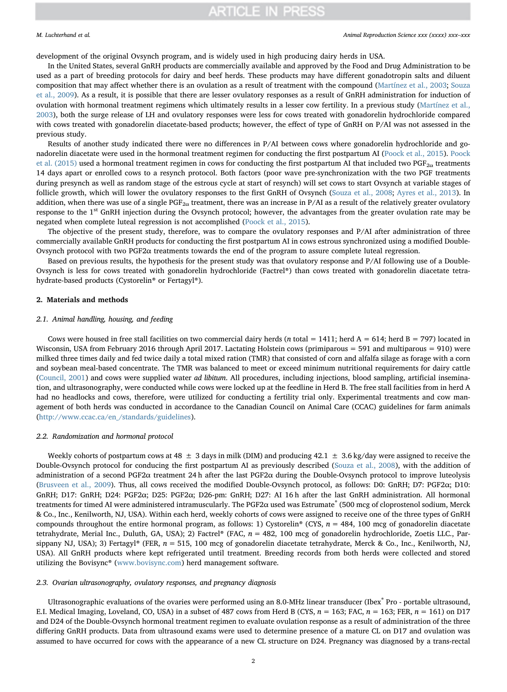development of the original Ovsynch program, and is widely used in high producing dairy herds in USA.

In the United States, several GnRH products are commercially available and approved by the Food and Drug Administration to be used as a part of breeding protocols for dairy and beef herds. These products may have different gonadotropin salts and diluent composition that may affect whether there is an ovulation as a result of treatment with the compound ([Martínez et al., 2003;](#page-6-3) [Souza](#page-6-4) [et al., 2009\)](#page-6-4). As a result, it is possible that there are lesser ovulatory responses as a result of GnRH administration for induction of ovulation with hormonal treatment regimens which ultimately results in a lesser cow fertility. In a previous study [\(Martínez et al.,](#page-6-3) [2003\)](#page-6-3), both the surge release of LH and ovulatory responses were less for cows treated with gonadorelin hydrochloride compared with cows treated with gonadorelin diacetate-based products; however, the effect of type of GnRH on P/AI was not assessed in the previous study.

Results of another study indicated there were no differences in P/AI between cows where gonadorelin hydrochloride and gonadorelin diacetate were used in the hormonal treatment regimen for conducting the first postpartum AI ([Poock et al., 2015\)](#page-6-5). [Poock](#page-6-5) [et al. \(2015\)](#page-6-5) used a hormonal treatment regimen in cows for conducting the first postpartum AI that included two PGF<sub>2 $\alpha$ </sub> treatments 14 days apart or enrolled cows to a resynch protocol. Both factors (poor wave pre-synchronization with the two PGF treatments during presynch as well as random stage of the estrous cycle at start of resynch) will set cows to start Ovsynch at variable stages of follicle growth, which will lower the ovulatory responses to the first GnRH of Ovsynch ([Souza et al., 2008](#page-6-2); [Ayres et al., 2013](#page-5-0)). In addition, when there was use of a single  $PGF_{2\alpha}$  treatment, there was an increase in P/AI as a result of the relatively greater ovulatory response to the 1<sup>st</sup> GnRH injection during the Ovsynch protocol; however, the advantages from the greater ovulation rate may be negated when complete luteal regression is not accomplished [\(Poock et al., 2015](#page-6-5)).

The objective of the present study, therefore, was to compare the ovulatory responses and P/AI after administration of three commercially available GnRH products for conducting the first postpartum AI in cows estrous synchronized using a modified Double-Ovsynch protocol with two PGF2α treatments towards the end of the program to assure complete luteal regression.

Based on previous results, the hypothesis for the present study was that ovulatory response and P/AI following use of a Double-Ovsynch is less for cows treated with gonadorelin hydrochloride (Factrel®) than cows treated with gonadorelin diacetate tetrahydrate-based products (Cystorelin® or Fertagyl®).

## 2. Materials and methods

## 2.1. Animal handling, housing, and feeding

Cows were housed in free stall facilities on two commercial dairy herds (*n* total = 1411; herd  $A = 614$ ; herd  $B = 797$ ) located in Wisconsin, USA from February 2016 through April 2017. Lactating Holstein cows (primiparous = 591 and multiparous = 910) were milked three times daily and fed twice daily a total mixed ration (TMR) that consisted of corn and alfalfa silage as forage with a corn and soybean meal-based concentrate. The TMR was balanced to meet or exceed minimum nutritional requirements for dairy cattle ([Council, 2001\)](#page-5-1) and cows were supplied water ad libitum. All procedures, including injections, blood sampling, artificial insemination, and ultrasonography, were conducted while cows were locked up at the feedline in Herd B. The free stall facilities from in herd A had no headlocks and cows, therefore, were utilized for conducting a fertility trial only. Experimental treatments and cow management of both herds was conducted in accordance to the Canadian Council on Animal Care (CCAC) guidelines for farm animals ([http://www.ccac.ca/en\\_/standards/guidelines](http://www.ccac.ca/en_/standards/guidelines)).

### 2.2. Randomization and hormonal protocol

Weekly cohorts of postpartum cows at 48  $\pm$  3 days in milk (DIM) and producing 42.1  $\pm$  3.6 kg/day were assigned to receive the Double-Ovsynch protocol for conducing the first postpartum AI as previously described [\(Souza et al., 2008\)](#page-6-2), with the addition of administration of a second PGF2α treatment 24 h after the last PGF2α during the Double-Ovsynch protocol to improve luteolysis ([Brusveen et al., 2009](#page-5-2)). Thus, all cows received the modified Double-Ovsynch protocol, as follows: D0: GnRH; D7: PGF2α; D10: GnRH; D17: GnRH; D24: PGF2α; D25: PGF2α; D26-pm: GnRH; D27: AI 16 h after the last GnRH administration. All hormonal treatments for timed AI were administered intramuscularly. The PGF2α used was Estrumate® (500 mcg of cloprostenol sodium, Merck & Co., Inc., Kenilworth, NJ, USA). Within each herd, weekly cohorts of cows were assigned to receive one of the three types of GnRH compounds throughout the entire hormonal program, as follows: 1) Cystorelin® (CYS,  $n = 484$ , 100 mcg of gonadorelin diacetate tetrahydrate, Merial Inc., Duluth, GA, USA); 2) Factrel® (FAC,  $n = 482$ , 100 mcg of gonadorelin hydrochloride, Zoetis LLC., Parsippany NJ, USA); 3) Fertagyl® (FER,  $n = 515$ , 100 mcg of gonadorelin diacetate tetrahydrate, Merck & Co., Inc., Kenilworth, NJ, USA). All GnRH products where kept refrigerated until treatment. Breeding records from both herds were collected and stored utilizing the Bovisync® ([www.bovisync.com\)](http://www.bovisync.com) herd management software.

### 2.3. Ovarian ultrasonography, ovulatory responses, and pregnancy diagnosis

Ultrasonographic evaluations of the ovaries were performed using an 8.0-MHz linear transducer (Ibex® Pro - portable ultrasound, E.I. Medical Imaging, Loveland, CO, USA) in a subset of 487 cows from Herd B (CYS,  $n = 163$ ; FAC,  $n = 163$ ; FER,  $n = 161$ ) on D17 and D24 of the Double-Ovsynch hormonal treatment regimen to evaluate ovulation response as a result of administration of the three differing GnRH products. Data from ultrasound exams were used to determine presence of a mature CL on D17 and ovulation was assumed to have occurred for cows with the appearance of a new CL structure on D24. Pregnancy was diagnosed by a trans-rectal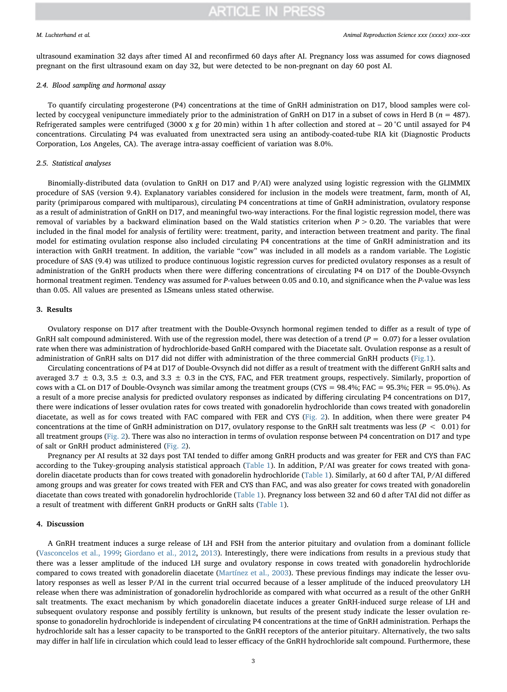ultrasound examination 32 days after timed AI and reconfirmed 60 days after AI. Pregnancy loss was assumed for cows diagnosed pregnant on the first ultrasound exam on day 32, but were detected to be non-pregnant on day 60 post AI.

### 2.4. Blood sampling and hormonal assay

To quantify circulating progesterone (P4) concentrations at the time of GnRH administration on D17, blood samples were collected by coccygeal venipuncture immediately prior to the administration of GnRH on D17 in a subset of cows in Herd B ( $n = 487$ ). Refrigerated samples were centrifuged (3000 x g for 20 min) within 1 h after collection and stored at  $-$  20 °C until assayed for P4 concentrations. Circulating P4 was evaluated from unextracted sera using an antibody-coated-tube RIA kit (Diagnostic Products Corporation, Los Angeles, CA). The average intra-assay coefficient of variation was 8.0%.

## 2.5. Statistical analyses

Binomially-distributed data (ovulation to GnRH on D17 and P/AI) were analyzed using logistic regression with the GLIMMIX procedure of SAS (version 9.4). Explanatory variables considered for inclusion in the models were treatment, farm, month of AI, parity (primiparous compared with multiparous), circulating P4 concentrations at time of GnRH administration, ovulatory response as a result of administration of GnRH on D17, and meaningful two-way interactions. For the final logistic regression model, there was removal of variables by a backward elimination based on the Wald statistics criterion when  $P > 0.20$ . The variables that were included in the final model for analysis of fertility were: treatment, parity, and interaction between treatment and parity. The final model for estimating ovulation response also included circulating P4 concentrations at the time of GnRH administration and its interaction with GnRH treatment. In addition, the variable "cow" was included in all models as a random variable. The Logistic procedure of SAS (9.4) was utilized to produce continuous logistic regression curves for predicted ovulatory responses as a result of administration of the GnRH products when there were differing concentrations of circulating P4 on D17 of the Double-Ovsynch hormonal treatment regimen. Tendency was assumed for P-values between 0.05 and 0.10, and significance when the P-value was less than 0.05. All values are presented as LSmeans unless stated otherwise.

## 3. Results

Ovulatory response on D17 after treatment with the Double-Ovsynch hormonal regimen tended to differ as a result of type of GnRH salt compound administered. With use of the regression model, there was detection of a trend ( $P = 0.07$ ) for a lesser ovulation rate when there was administration of hydrochloride-based GnRH compared with the Diacetate salt. Ovulation response as a result of administration of GnRH salts on D17 did not differ with administration of the three commercial GnRH products ([Fig.1](#page-3-0)).

Circulating concentrations of P4 at D17 of Double-Ovsynch did not differ as a result of treatment with the different GnRH salts and averaged 3.7  $\pm$  0.3, 3.5  $\pm$  0.3, and 3.3  $\pm$  0.3 in the CYS, FAC, and FER treatment groups, respectively. Similarly, proportion of cows with a CL on D17 of Double-Ovsynch was similar among the treatment groups (CYS = 98.4%; FAC = 95.3%; FER = 95.0%). As a result of a more precise analysis for predicted ovulatory responses as indicated by differing circulating P4 concentrations on D17, there were indications of lesser ovulation rates for cows treated with gonadorelin hydrochloride than cows treated with gonadorelin diacetate, as well as for cows treated with FAC compared with FER and CYS ([Fig. 2\)](#page-4-0). In addition, when there were greater P4 concentrations at the time of GnRH administration on D17, ovulatory response to the GnRH salt treatments was less ( $P < 0.01$ ) for all treatment groups ([Fig. 2\)](#page-4-0). There was also no interaction in terms of ovulation response between P4 concentration on D17 and type of salt or GnRH product administered [\(Fig. 2](#page-4-0)).

Pregnancy per AI results at 32 days post TAI tended to differ among GnRH products and was greater for FER and CYS than FAC according to the Tukey-grouping analysis statistical approach [\(Table 1\)](#page-4-1). In addition, P/AI was greater for cows treated with gonadorelin diacetate products than for cows treated with gonadorelin hydrochloride [\(Table 1](#page-4-1)). Similarly, at 60 d after TAI, P/AI differed among groups and was greater for cows treated with FER and CYS than FAC, and was also greater for cows treated with gonadorelin diacetate than cows treated with gonadorelin hydrochloride [\(Table](#page-4-1) 1). Pregnancy loss between 32 and 60 d after TAI did not differ as a result of treatment with different GnRH products or GnRH salts [\(Table 1](#page-4-1)).

# 4. Discussion

A GnRH treatment induces a surge release of LH and FSH from the anterior pituitary and ovulation from a dominant follicle ([Vasconcelos et al., 1999;](#page-6-6) [Giordano et al., 2012,](#page-5-3) [2013\)](#page-6-7). Interestingly, there were indications from results in a previous study that there was a lesser amplitude of the induced LH surge and ovulatory response in cows treated with gonadorelin hydrochloride compared to cows treated with gonadorelin diacetate [\(Martínez et al., 2003\)](#page-6-3). These previous findings may indicate the lesser ovulatory responses as well as lesser P/AI in the current trial occurred because of a lesser amplitude of the induced preovulatory LH release when there was administration of gonadorelin hydrochloride as compared with what occurred as a result of the other GnRH salt treatments. The exact mechanism by which gonadorelin diacetate induces a greater GnRH-induced surge release of LH and subsequent ovulatory response and possibly fertility is unknown, but results of the present study indicate the lesser ovulation response to gonadorelin hydrochloride is independent of circulating P4 concentrations at the time of GnRH administration. Perhaps the hydrochloride salt has a lesser capacity to be transported to the GnRH receptors of the anterior pituitary. Alternatively, the two salts may differ in half life in circulation which could lead to lesser efficacy of the GnRH hydrochloride salt compound. Furthermore, these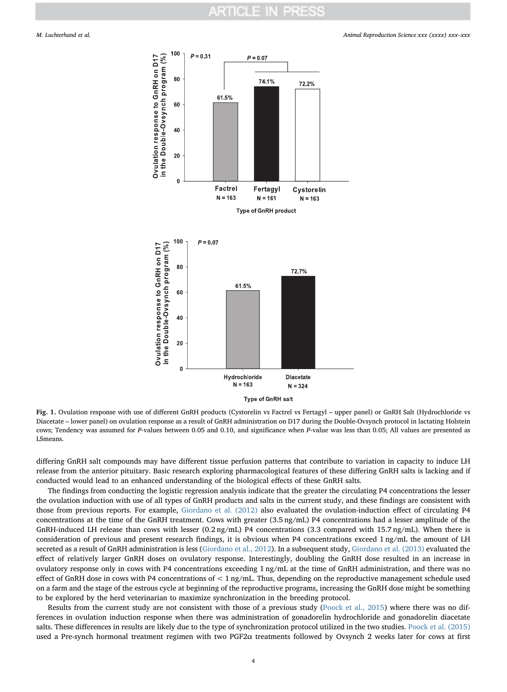#### <span id="page-3-0"></span>M. Luchterhand et al. *Animal Reproduction Science xxx (xxxx) xxx–xxx*



Fig. 1. Ovulation response with use of different GnRH products (Cystorelin vs Factrel vs Fertagyl – upper panel) or GnRH Salt (Hydrochloride vs Diacetate – lower panel) on ovulation response as a result of GnRH administration on D17 during the Double-Ovsynch protocol in lactating Holstein cows; Tendency was assumed for P-values between 0.05 and 0.10, and significance when P-value was less than 0.05; All values are presented as LSmeans.

differing GnRH salt compounds may have different tissue perfusion patterns that contribute to variation in capacity to induce LH release from the anterior pituitary. Basic research exploring pharmacological features of these differing GnRH salts is lacking and if conducted would lead to an enhanced understanding of the biological effects of these GnRH salts.

The findings from conducting the logistic regression analysis indicate that the greater the circulating P4 concentrations the lesser the ovulation induction with use of all types of GnRH products and salts in the current study, and these findings are consistent with those from previous reports. For example, [Giordano et al. \(2012\)](#page-5-3) also evaluated the ovulation-induction effect of circulating P4 concentrations at the time of the GnRH treatment. Cows with greater (3.5 ng/mL) P4 concentrations had a lesser amplitude of the GnRH-induced LH release than cows with lesser (0.2 ng/mL) P4 concentrations (3.3 compared with 15.7 ng/mL). When there is consideration of previous and present research findings, it is obvious when P4 concentrations exceed 1 ng/mL the amount of LH secreted as a result of GnRH administration is less [\(Giordano et al., 2012](#page-5-3)). In a subsequent study, [Giordano et al. \(2013\)](#page-6-7) evaluated the effect of relatively larger GnRH doses on ovulatory response. Interestingly, doubling the GnRH dose resulted in an increase in ovulatory response only in cows with P4 concentrations exceeding 1 ng/mL at the time of GnRH administration, and there was no effect of GnRH dose in cows with P4 concentrations of < 1 ng/mL. Thus, depending on the reproductive management schedule used on a farm and the stage of the estrous cycle at beginning of the reproductive programs, increasing the GnRH dose might be something to be explored by the herd veterinarian to maximize synchronization in the breeding protocol.

Results from the current study are not consistent with those of a previous study [\(Poock et al., 2015\)](#page-6-5) where there was no differences in ovulation induction response when there was administration of gonadorelin hydrochloride and gonadorelin diacetate salts. These differences in results are likely due to the type of synchronization protocol utilized in the two studies. [Poock et al. \(2015\)](#page-6-5) used a Pre-synch hormonal treatment regimen with two PGF2α treatments followed by Ovsynch 2 weeks later for cows at first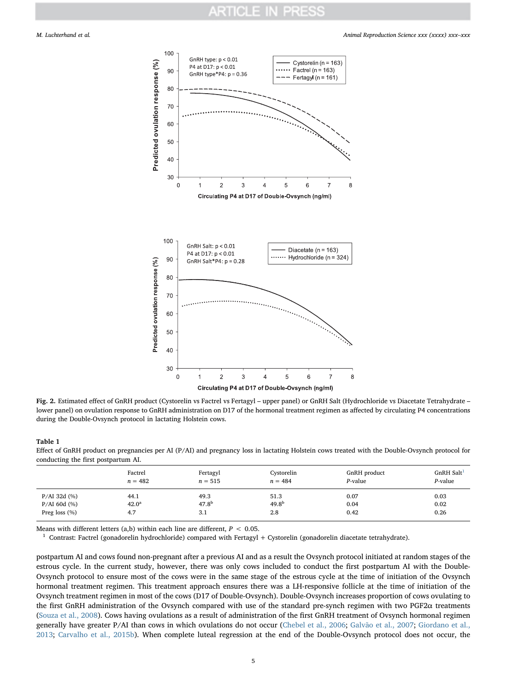<span id="page-4-0"></span>

Fig. 2. Estimated effect of GnRH product (Cystorelin vs Factrel vs Fertagyl – upper panel) or GnRH Salt (Hydrochloride vs Diacetate Tetrahydrate – lower panel) on ovulation response to GnRH administration on D17 of the hormonal treatment regimen as affected by circulating P4 concentrations during the Double-Ovsynch protocol in lactating Holstein cows.

### <span id="page-4-1"></span>Table 1

Effect of GnRH product on pregnancies per AI (P/AI) and pregnancy loss in lactating Holstein cows treated with the Double-Ovsynch protocol for conducting the first postpartum AI.

|                    | Factrel           | Fertagyl   | Cystorelin | GnRH product | $GnRH$ Salt <sup>1</sup> |
|--------------------|-------------------|------------|------------|--------------|--------------------------|
|                    | $n = 482$         | $n = 515$  | $n = 484$  | P-value      | $P$ -value               |
| $P/AI$ 32d $(\% )$ | 44.1              | 49.3       | 51.3       | 0.07         | 0.03                     |
| $P/AI$ 60d $(\% )$ | 42.0 <sup>a</sup> | $47.8^{b}$ | $49.8^{b}$ | 0.04         | 0.02                     |
| Preg loss $(\%)$   | 4.7               | 3.1        | 2.8        | 0.42         | 0.26                     |

Means with different letters (a,b) within each line are different,  $P < 0.05$ .

<span id="page-4-2"></span><sup>1</sup> Contrast: Factrel (gonadorelin hydrochloride) compared with Fertagyl + Cystorelin (gonadorelin diacetate tetrahydrate).

postpartum AI and cows found non-pregnant after a previous AI and as a result the Ovsynch protocol initiated at random stages of the estrous cycle. In the current study, however, there was only cows included to conduct the first postpartum AI with the Double-Ovsynch protocol to ensure most of the cows were in the same stage of the estrous cycle at the time of initiation of the Ovsynch hormonal treatment regimen. This treatment approach ensures there was a LH-responsive follicle at the time of initiation of the Ovsynch treatment regimen in most of the cows (D17 of Double-Ovsynch). Double-Ovsynch increases proportion of cows ovulating to the first GnRH administration of the Ovsynch compared with use of the standard pre-synch regimen with two PGF2α treatments ([Souza et al., 2008\)](#page-6-2). Cows having ovulations as a result of administration of the first GnRH treatment of Ovsynch hormonal regimen generally have greater P/AI than cows in which ovulations do not occur ([Chebel et al., 2006](#page-5-4); [Galvão et al., 2007;](#page-5-5) [Giordano et al.,](#page-6-7) [2013;](#page-6-7) [Carvalho et al., 2015b](#page-5-6)). When complete luteal regression at the end of the Double-Ovsynch protocol does not occur, the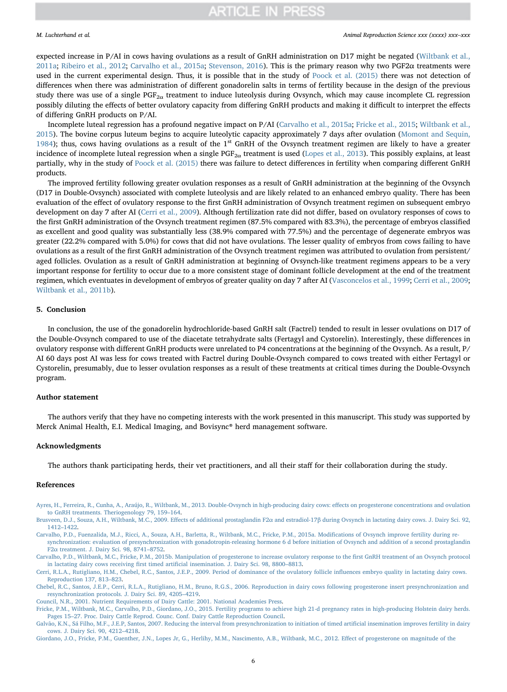### M. Luchterhand et al. *Animal Reproduction Science xxx (xxxx) xxx–xxx*

expected increase in P/AI in cows having ovulations as a result of GnRH administration on D17 might be negated [\(Wiltbank et al.,](#page-6-8) [2011a](#page-6-8); [Ribeiro et al., 2012](#page-6-9); [Carvalho et al., 2015a;](#page-5-7) [Stevenson, 2016\)](#page-6-10). This is the primary reason why two PGF2α treatments were used in the current experimental design. Thus, it is possible that in the study of [Poock et al. \(2015\)](#page-6-5) there was not detection of differences when there was administration of different gonadorelin salts in terms of fertility because in the design of the previous study there was use of a single  $PGF_{2\alpha}$  treatment to induce luteolysis during Ovsynch, which may cause incomplete CL regression possibly diluting the effects of better ovulatory capacity from differing GnRH products and making it difficult to interpret the effects of differing GnRH products on P/AI.

Incomplete luteal regression has a profound negative impact on P/AI ([Carvalho et al., 2015a;](#page-5-7) [Fricke et al., 2015;](#page-5-8) [Wiltbank et al.,](#page-6-11) [2015\)](#page-6-11). The bovine corpus luteum begins to acquire luteolytic capacity approximately 7 days after ovulation ([Momont and Sequin,](#page-6-12) [1984\)](#page-6-12); thus, cows having ovulations as a result of the  $1<sup>st</sup>$  GnRH of the Ovsynch treatment regimen are likely to have a greater incidence of incomplete luteal regression when a single  $PGF_{2\alpha}$  treatment is used ([Lopes et al., 2013](#page-6-13)). This possibly explains, at least partially, why in the study of [Poock et al. \(2015\)](#page-6-5) there was failure to detect differences in fertility when comparing different GnRH products.

The improved fertility following greater ovulation responses as a result of GnRH administration at the beginning of the Ovsynch (D17 in Double-Ovsynch) associated with complete luteolysis and are likely related to an enhanced embryo quality. There has been evaluation of the effect of ovulatory response to the first GnRH administration of Ovsynch treatment regimen on subsequent embryo development on day 7 after AI [\(Cerri et al., 2009](#page-5-9)). Although fertilization rate did not differ, based on ovulatory responses of cows to the first GnRH administration of the Ovsynch treatment regimen (87.5% compared with 83.3%), the percentage of embryos classified as excellent and good quality was substantially less (38.9% compared with 77.5%) and the percentage of degenerate embryos was greater (22.2% compared with 5.0%) for cows that did not have ovulations. The lesser quality of embryos from cows failing to have ovulations as a result of the first GnRH administration of the Ovsynch treatment regimen was attributed to ovulation from persistent/ aged follicles. Ovulation as a result of GnRH administration at beginning of Ovsynch-like treatment regimens appears to be a very important response for fertility to occur due to a more consistent stage of dominant follicle development at the end of the treatment regimen, which eventuates in development of embryos of greater quality on day 7 after AI ([Vasconcelos et al., 1999](#page-6-6); [Cerri et al., 2009;](#page-5-9) [Wiltbank et al., 2011b\)](#page-6-14).

## 5. Conclusion

In conclusion, the use of the gonadorelin hydrochloride-based GnRH salt (Factrel) tended to result in lesser ovulations on D17 of the Double-Ovsynch compared to use of the diacetate tetrahydrate salts (Fertagyl and Cystorelin). Interestingly, these differences in ovulatory response with different GnRH products were unrelated to P4 concentrations at the beginning of the Ovsynch. As a result, P/ AI 60 days post AI was less for cows treated with Factrel during Double-Ovsynch compared to cows treated with either Fertagyl or Cystorelin, presumably, due to lesser ovulation responses as a result of these treatments at critical times during the Double-Ovsynch program.

# Author statement

The authors verify that they have no competing interests with the work presented in this manuscript. This study was supported by Merck Animal Health, E.I. Medical Imaging, and Bovisync® herd management software.

### Acknowledgments

The authors thank participating herds, their vet practitioners, and all their staff for their collaboration during the study.

## References

- <span id="page-5-0"></span>[Ayres, H., Ferreira, R., Cunha, A., Araújo, R., Wiltbank, M., 2013. Double-Ovsynch in high-producing dairy cows: e](http://refhub.elsevier.com/S0378-4320(18)30850-9/sbref0005)ffects on progesterone concentrations and ovulation [to GnRH treatments. Theriogenology 79, 159](http://refhub.elsevier.com/S0378-4320(18)30850-9/sbref0005)–164.
- <span id="page-5-2"></span>Brusveen, D.J., Souza, A.H., Wiltbank, M.C., 2009. Effects of additional prostaglandin F2α and estradiol-17β [during Ovsynch in lactating dairy cows. J. Dairy Sci. 92,](http://refhub.elsevier.com/S0378-4320(18)30850-9/sbref0010) 1412–[1422.](http://refhub.elsevier.com/S0378-4320(18)30850-9/sbref0010)
- <span id="page-5-7"></span>[Carvalho, P.D., Fuenzalida, M.J., Ricci, A., Souza, A.H., Barletta, R., Wiltbank, M.C., Fricke, P.M., 2015a. Modi](http://refhub.elsevier.com/S0378-4320(18)30850-9/sbref0015)fications of Ovsynch improve fertility during re[synchronization: evaluation of presynchronization with gonadotropin-releasing hormone 6 d before initiation of Ovsynch and addition of a second prostaglandin](http://refhub.elsevier.com/S0378-4320(18)30850-9/sbref0015) F2α [treatment. J. Dairy Sci. 98, 8741](http://refhub.elsevier.com/S0378-4320(18)30850-9/sbref0015)–8752.
- <span id="page-5-6"></span>[Carvalho, P.D., Wiltbank, M.C., Fricke, P.M., 2015b. Manipulation of progesterone to increase ovulatory response to the](http://refhub.elsevier.com/S0378-4320(18)30850-9/sbref0020) first GnRH treatment of an Ovsynch protocol in lactating dairy cows receiving first timed artifi[cial insemination. J. Dairy Sci. 98, 8800](http://refhub.elsevier.com/S0378-4320(18)30850-9/sbref0020)–8813.

<span id="page-5-9"></span>[Cerri, R.L.A., Rutigliano, H.M., Chebel, R.C., Santos, J.E.P., 2009. Period of dominance of the ovulatory follicle in](http://refhub.elsevier.com/S0378-4320(18)30850-9/sbref0025)fluences embryo quality in lactating dairy cows. [Reproduction 137, 813](http://refhub.elsevier.com/S0378-4320(18)30850-9/sbref0025)–823.

- <span id="page-5-4"></span>[Chebel, R.C., Santos, J.E.P., Cerri, R.L.A., Rutigliano, H.M., Bruno, R.G.S., 2006. Reproduction in dairy cows following progesterone insert presynchronization and](http://refhub.elsevier.com/S0378-4320(18)30850-9/sbref0030) [resynchronization protocols. J. Dairy Sci. 89, 4205](http://refhub.elsevier.com/S0378-4320(18)30850-9/sbref0030)–4219.
- <span id="page-5-1"></span>[Council, N.R., 2001. Nutrient Requirements of Dairy Cattle: 2001. National Academies Press.](http://refhub.elsevier.com/S0378-4320(18)30850-9/sbref0035)
- <span id="page-5-8"></span>[Fricke, P.M., Wiltbank, M.C., Carvalho, P.D., Giordano, J.O., 2015. Fertility programs to achieve high 21-d pregnancy rates in high-producing Holstein dairy herds.](http://refhub.elsevier.com/S0378-4320(18)30850-9/sbref0040) Pages 15–[27. Proc. Dairy Cattle Reprod. Counc. Conf. Dairy Cattle Reproduction Council](http://refhub.elsevier.com/S0378-4320(18)30850-9/sbref0040).
- <span id="page-5-5"></span>[Galvão, K.N., Sá Filho, M.F., J.E.P, Santos, 2007. Reducing the interval from presynchronization to initiation of timed arti](http://refhub.elsevier.com/S0378-4320(18)30850-9/sbref0045)ficial insemination improves fertility in dairy [cows. J. Dairy Sci. 90, 4212](http://refhub.elsevier.com/S0378-4320(18)30850-9/sbref0045)–4218.

<span id="page-5-3"></span>[Giordano, J.O., Fricke, P.M., Guenther, J.N., Lopes Jr, G., Herlihy, M.M., Nascimento, A.B., Wiltbank, M.C., 2012. E](http://refhub.elsevier.com/S0378-4320(18)30850-9/sbref0050)ffect of progesterone on magnitude of the